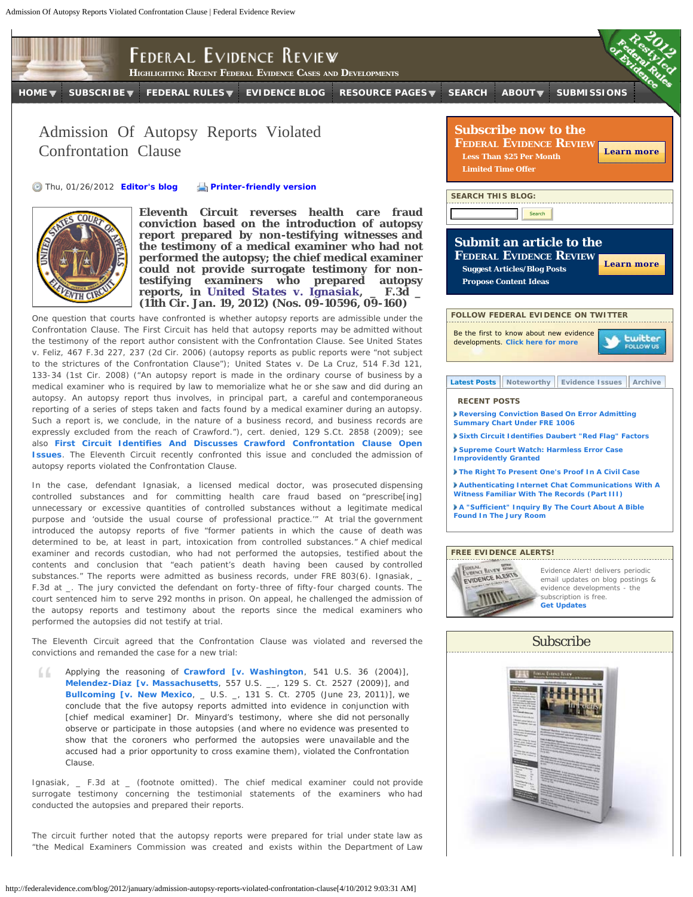

**(11th Cir. Jan. 19, 2012) (Nos. 09-10596, 09-160)** One question that courts have confronted is whether autopsy reports are admissible under the Confrontation Clause. The First Circuit has held that autopsy reports may be admitted without the testimony of the report author consistent with the Confrontation Clause. *See United States v. Feliz*, 467 F.3d 227, 237 (2d Cir. 2006) (autopsy reports as public reports were "not subject to the strictures of the Confrontation Clause"); *United States v. De La Cruz*, 514 F.3d 121, 133-34 (1st Cir. 2008) ("An autopsy report is made in the ordinary course of business by a medical examiner who is required by law to memorialize what he or she saw and did during an autopsy. An autopsy report thus involves, in principal part, a careful and contemporaneous reporting of a series of steps taken and facts found by a medical examiner during an autopsy. Such a report is, we conclude, in the nature of a business record, and business records are expressly excluded from the reach of *Crawford*."), *cert. denied*, 129 S.Ct. 2858 (2009); *see also* **[First Circuit Identifies And Discusses](http://federalevidence.com/node/1332)** *[Crawford](http://federalevidence.com/node/1332)* **[Confrontation Clause Open](http://federalevidence.com/node/1332) [Issues](http://federalevidence.com/node/1332)**. The Eleventh Circuit recently confronted this issue and concluded the admission of autopsy reports violated the Confrontation Clause.

**reports, in** *[United States v. Ignasiak](http://federalevidence.com/pdf/2012/01Jan/US.v.Ignasiak.pdf)***, \_ F.3d \_**

In the case, defendant Ignasiak, a licensed medical doctor, was prosecuted dispensing controlled substances and for committing health care fraud based on "prescribe[ing] unnecessary or excessive quantities of controlled substances without a legitimate medical purpose and 'outside the usual course of professional practice.'" At trial the government introduced the autopsy reports of five "former patients in which the cause of death was determined to be, at least in part, intoxication from controlled substances." A chief medical examiner and records custodian, who had not performed the autopsies, testified about the contents and conclusion that "each patient's death having been caused by controlled substances." The reports were admitted as business records, under FRE 803(6). *Ignasiak*, \_ F.3d at \_. The jury convicted the defendant on forty-three of fifty-four charged counts. The court sentenced him to serve 292 months in prison. On appeal, he challenged the admission of the autopsy reports and testimony about the reports since the medical examiners who performed the autopsies did not testify at trial.

The Eleventh Circuit agreed that the Confrontation Clause was violated and reversed the convictions and remanded the case for a new trial:

Applying the reasoning of *[Crawford \[v. Washington](http://federalevidence.com/pdf/2007/13-SCt/Crawford_v._Washington.pdf)*, 541 U.S. 36 (2004)], 66. *[Melendez-Diaz \[v. Massachusetts](http://federalevidence.com/pdf/2009/Misc/Melendez-Diaz_v._Massachusetts.pdf)*, 557 U.S. \_\_, 129 S. Ct. 2527 (2009)], and **[Bullcoming \[v. New Mexico](http://federalevidence.com/pdf/Bullcoming/Bullcoming.v.NM.6.23.11.pdf), \_ U.S. \_, 131 S. Ct. 2705 (June 23, 2011)], we** conclude that the five autopsy reports admitted into evidence in conjunction with [chief medical examiner] Dr. Minyard's testimony, where she did not personally observe or participate in those autopsies (and where no evidence was presented to show that the coroners who performed the autopsies were unavailable and the accused had a prior opportunity to cross examine them), violated the Confrontation Clause.

*Ignasiak*, \_ F.3d at \_ (footnote omitted). The chief medical examiner could not provide surrogate testimony concerning the testimonial statements of the examiners who had conducted the autopsies and prepared their reports.

The circuit further noted that the autopsy reports were prepared for trial under state law as "the Medical Examiners Commission was created and exists within the Department of Law



*<u>twitter</u>* 



**RECENT POSTS**

Be the first to know about new evidence developments. **[Click here for more](http://twitter.com/#!/FederalEvidence)**

**FOLLOW FEDERAL EVIDENCE ON TWITTER**

**[Latest Posts](http://federalevidence.com/blog/2012/january/admission-autopsy-reports-violated-confrontation-clause?quicktabs_1=0#quicktabs-1) [Noteworthy](http://federalevidence.com/blog/2012/january/admission-autopsy-reports-violated-confrontation-clause?quicktabs_1=1#quicktabs-1) [Evidence Issues](http://federalevidence.com/blog/2012/january/admission-autopsy-reports-violated-confrontation-clause?quicktabs_1=2#quicktabs-1) [Archive](http://federalevidence.com/blog/2012/january/admission-autopsy-reports-violated-confrontation-clause?quicktabs_1=3#quicktabs-1)**

Evidence Alert! delivers periodic email updates on blog postings & evidence developments - the subscription is free. **[Get Updates](http://federalevidence.com/get-updates)**

## Subscribe

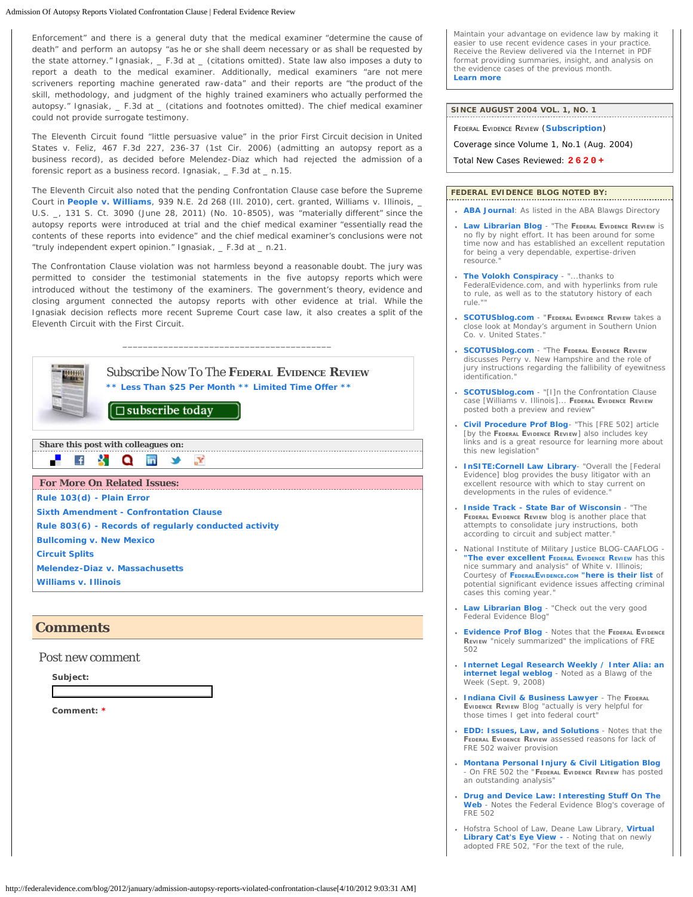## Admission Of Autopsy Reports Violated Confrontation Clause | Federal Evidence Review

Enforcement" and there is a general duty that the medical examiner "determine the cause of death" and perform an autopsy "as he or she shall deem necessary or as shall be requested by the state attorney." *Ignasiak*, \_ F.3d at \_ (citations omitted). State law also imposes a duty to report a death to the medical examiner. Additionally, medical examiners "are not mere scriveners reporting machine generated raw-data" and their reports are "the product of the skill, methodology, and judgment of the highly trained examiners who actually performed the autopsy." *Ignasiak*, \_ F.3d at \_ (citations and footnotes omitted). The chief medical examiner could not provide surrogate testimony.

The Eleventh Circuit found "little persuasive value" in the prior First Circuit decision in *United States v. Feliz*, 467 F.3d 227, 236-37 (1st Cir. 2006) (admitting an autopsy report as a business record), as decided before *Melendez-Diaz* which had rejected the admission of a forensic report as a business record. *Ignasiak*, \_ F.3d at \_ n.15.

The Eleventh Circuit also noted that the pending Confrontation Clause case before the Supreme Court in *[People v. Williams](http://federalevidence.com/pdf/Williams/P.v.Williams.7.15.2010.pdf)*, 939 N.E. 2d 268 (Ill. 2010), *cert. granted*, *Williams v. Illinois*, \_ U.S. \_, 131 S. Ct. 3090 (June 28, 2011) (No. 10-8505), was "materially different" since the autopsy reports were introduced at trial and the chief medical examiner "essentially read the contents of these reports into evidence" and the chief medical examiner's conclusions were not "truly independent expert opinion." *Ignasiak*, \_ F.3d at \_ n.21.

The Confrontation Clause violation was not harmless beyond a reasonable doubt. The jury was permitted to consider the testimonial statements in the five autopsy reports which were introduced without the testimony of the examiners. The government's theory, evidence and closing argument connected the autopsy reports with other evidence at trial. While the Ignasiak decision reflects more recent Supreme Court case law, it also creates a split of the Eleventh Circuit with the First Circuit.



## **Comments**

Post new comment

**Subject:**

**Comment: \***

Maintain your advantage on evidence law by making it easier to use recent evidence cases in your practice. Receive the Review delivered via the Internet in PDF format providing summaries, insight, and analysis on the evidence cases of the previous month. **[Learn more](http://federalevidence.com/subscribe)**

| SINCE AUGUST 2004 VOL. 1, NO. 1               |
|-----------------------------------------------|
| <b>FEDERAL EVIDENCE REVIEW (Subscription)</b> |
| Coverage since Volume 1, No.1 (Aug. 2004)     |
| Total New Cases Reviewed: 2620+               |

## **FEDERAL EVIDENCE BLOG NOTED BY:**

- **[ABA Journal](http://www.abajournal.com/blawg/Federal_Evidence_Blog/)**: As listed in the ABA Blawgs Directory
- **[Law Librarian Blog](http://lawprofessors.typepad.com/law_librarian_blog/2011/12/free-and-reliable-e-texts-for-the-new-federal-rules-of-evidence-as-well-as-civil-procedure-criminal-procedure.html)**  *"The FEdERAL EVIdEncE REVIEw is no fly by night effort. It has been around for some time now and has established an excellent reputation for being a very dependable, expertise-driven resource."*
- **[The Volokh Conspiracy](http://volokh.com/2011/12/12/restyled-federal-rules-of-evidence-effective-dec-1-2011-with-hyperlinks/)** *"...thanks to FederalEvidence.com, and with hyperlinks from rule to rule, as well as to the statutory history of each rule.""*
- **[SCOTUSblog.com](http://www.scotusblog.com/2012/03/wednesday-round-up-127/)** "**Federal Evidence Review** takes a close look at Monday's argument in *Southern Union Co. v. United States*."
- **[SCOTUSblog.com](http://www.scotusblog.com/2012/01/wednesday-round-up-118/#more-137170)** *"The FEdERAL EVIdEncE REVIEw discusses Perry v. New Hampshire and the role of jury instructions regarding the fallibility of eyewitness identification."*
- **[SCOTUSblog.com](http://www.scotusblog.com/2011/12/thursday-round-up-105/)** *"[I]n the Confrontation Clause case [Williams v. Illinois]... FEdERAL EVIdEncE REVIEw posted both a preview and review"*
- **[Civil Procedure Prof Blog](http://lawprofessors.typepad.com/civpro/2008/12/fre-502-attorne.html)** *"This [FRE 502] article [by the FEdERAL EVIdEncE REVIEw] also includes key links and is a great resource for learning more about this new legislation"*
- **[InSITE:Cornell Law Library](http://library2.lawschool.cornell.edu/insiteasp/public/display_browse.asp?style=st_browse&id=1583&prevpage=1Evidence)** *"Overall the [Federal Evidence] blog provides the busy litigator with an excellent resource with which to stay current on* developments in the rules of evidence.
- **[Inside Track State Bar of Wisconsin](http://www.wisbar.org/AM/Template.cfm?Section=InsideTrack&Template=/CustomSource/InsideTrack/contentDisplay.cfm&ContentID=108080)** *"The FEdERAL EVIdEncE REVIEw blog is another place that attempts to consolidate jury instructions, both according to circuit and subject matter."*
- National Institute of Military Justice BLOG-CAAFLOG *["The ever excellent F](http://www.caaflog.com/2011/12/16/in-the-supremes-confrontation)EdERAL [EVIdEncE](http://www.caaflog.com/2011/12/16/in-the-supremes-confrontation) REVIEw has this nice summary and analysis" of* White v. Illinois; Courtesy of *[FEdERALEVIdEncE.cOm "here is their list](http://www.caaflog.com/tag/federal-evidence-review/) of potential significant evidence issues affecting criminal cases this coming year.*"
- **[Law Librarian Blog](http://lawprofessors.typepad.com/law_librarian_blog/2008/09/president-sig-1.html)**  *"Check out the very good Federal Evidence Blog"*
- **[Evidence Prof Blog](http://lawprofessors.typepad.com/evidenceprof/2008/09/president-bush.html)** *Notes that the FEdERAL EVIdEncE REVIEw "nicely summarized" the implications of FRE 502*
- **[Internet Legal Research Weekly / Inter Alia: an](http://www.inter-alia.net/ILRW/Archives/2008/09142008.php) [internet legal weblog](http://www.inter-alia.net/ILRW/Archives/2008/09142008.php)** - Noted as a *Blawg of the Week (Sept. 9, 2008)*
- **[Indiana Civil & Business Lawyer](http://haslerlaw.blogspot.com/2008/09/blog-of-federal-evidence-review.html)** *The FEDERAL*<br> *EVIDENCE REVIEW Blog "actually is very helpful for*<br> *those times I get into federal court"*
- **[EDD: Issues, Law, and Solutions](http://e-discoveryissues.blogspot.com/2008/09/president-signs-s-2450-new-evidence.html)** *Notes that the FEdERAL EVIdEncE REVIEw assessed reasons for lack of FRE 502 waiver provision*
- **[Montana Personal Injury & Civil Litigation Blog](http://bigskytrial.blogspot.com/2008/09/new-federal-rule-502.html)** - *On FRE 502 the "FEdERAL EVIdEncE REVIEw has posted an outstanding analysis"*
- **[Drug and Device Law: Interesting Stuff On The](http://druganddevicelaw.blogspot.com/2008/09/interesting-stuff-on-web.html) [Web](http://druganddevicelaw.blogspot.com/2008/09/interesting-stuff-on-web.html)** - Notes the Federal Evidence Blog's coverage of FRE 502
- Hofstra School of Law, Deane Law Library, **[Virtual](http://deanelawlibrary.blogspot.com/2008/09/president-signs-new-attorney-client.html) [Library Cat's Eye View](http://deanelawlibrary.blogspot.com/2008/09/president-signs-new-attorney-client.html)**  Noting that on newly adopted FRE 502, *"For the text of the rule,*